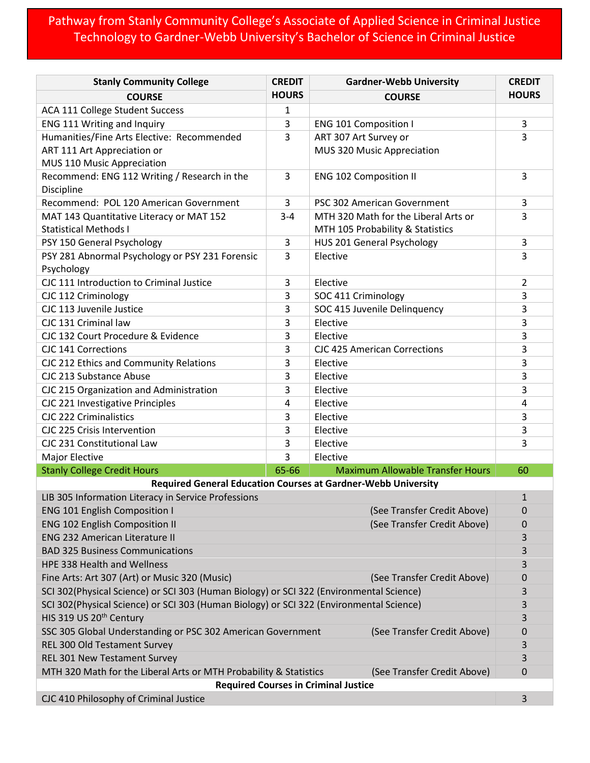## Pathway from Stanly Community College's Associate of Applied Science in Criminal Justice Technology to Gardner-Webb University's Bachelor of Science in Criminal Justice

| <b>Stanly Community College</b>                                                                  | <b>CREDIT</b> | <b>Gardner-Webb University</b>          | <b>CREDIT</b>  |  |
|--------------------------------------------------------------------------------------------------|---------------|-----------------------------------------|----------------|--|
| <b>COURSE</b>                                                                                    | <b>HOURS</b>  | <b>COURSE</b>                           | <b>HOURS</b>   |  |
| ACA 111 College Student Success                                                                  | $\mathbf{1}$  |                                         |                |  |
| ENG 111 Writing and Inquiry                                                                      | 3             | <b>ENG 101 Composition I</b>            | 3              |  |
| Humanities/Fine Arts Elective: Recommended                                                       | 3             | ART 307 Art Survey or                   | 3              |  |
| ART 111 Art Appreciation or                                                                      |               | MUS 320 Music Appreciation              |                |  |
| MUS 110 Music Appreciation                                                                       |               |                                         |                |  |
| Recommend: ENG 112 Writing / Research in the                                                     | 3             | <b>ENG 102 Composition II</b>           | 3              |  |
| Discipline                                                                                       |               |                                         |                |  |
| Recommend: POL 120 American Government                                                           | 3             | PSC 302 American Government             | 3              |  |
| MAT 143 Quantitative Literacy or MAT 152                                                         | $3 - 4$       | MTH 320 Math for the Liberal Arts or    | 3              |  |
| <b>Statistical Methods I</b>                                                                     |               | MTH 105 Probability & Statistics        |                |  |
| PSY 150 General Psychology                                                                       | 3             | HUS 201 General Psychology              | 3              |  |
| PSY 281 Abnormal Psychology or PSY 231 Forensic<br>Psychology                                    | 3             | Elective                                | 3              |  |
| CJC 111 Introduction to Criminal Justice                                                         | 3             | Elective                                | $\overline{2}$ |  |
| CJC 112 Criminology                                                                              | 3             | SOC 411 Criminology                     | 3              |  |
| CJC 113 Juvenile Justice                                                                         | 3             | SOC 415 Juvenile Delinquency            | 3              |  |
| CJC 131 Criminal law                                                                             | 3             | Elective                                | 3              |  |
| CJC 132 Court Procedure & Evidence                                                               | 3             | Elective                                | 3              |  |
| <b>CJC 141 Corrections</b>                                                                       | 3             | <b>CJC 425 American Corrections</b>     | 3              |  |
| CJC 212 Ethics and Community Relations                                                           | 3             | Elective                                | 3              |  |
| CJC 213 Substance Abuse                                                                          | 3             | Elective                                | 3              |  |
| CJC 215 Organization and Administration                                                          | 3             | Elective                                | 3              |  |
| CJC 221 Investigative Principles                                                                 | 4             | Elective                                | 4              |  |
| <b>CJC 222 Criminalistics</b>                                                                    | 3             | Elective                                | 3              |  |
| CJC 225 Crisis Intervention                                                                      | 3             | Elective                                | 3              |  |
| CJC 231 Constitutional Law                                                                       | 3             | Elective                                | 3              |  |
| Major Elective                                                                                   | 3             | Elective                                |                |  |
| <b>Stanly College Credit Hours</b>                                                               | 65-66         | <b>Maximum Allowable Transfer Hours</b> | 60             |  |
| <b>Required General Education Courses at Gardner-Webb University</b>                             |               |                                         |                |  |
| LIB 305 Information Literacy in Service Professions                                              |               |                                         | $\mathbf{1}$   |  |
| <b>ENG 101 English Composition I</b><br>(See Transfer Credit Above)                              |               | 0                                       |                |  |
| <b>ENG 102 English Composition II</b><br>(See Transfer Credit Above)                             |               |                                         | 0              |  |
| <b>ENG 232 American Literature II</b>                                                            |               |                                         | 3              |  |
| <b>BAD 325 Business Communications</b>                                                           |               |                                         |                |  |
| HPE 338 Health and Wellness                                                                      |               |                                         |                |  |
| Fine Arts: Art 307 (Art) or Music 320 (Music)<br>(See Transfer Credit Above)                     |               |                                         | 0              |  |
| SCI 302(Physical Science) or SCI 303 (Human Biology) or SCI 322 (Environmental Science)          |               |                                         |                |  |
| SCI 302(Physical Science) or SCI 303 (Human Biology) or SCI 322 (Environmental Science)          |               |                                         |                |  |
| HIS 319 US 20 <sup>th</sup> Century                                                              |               |                                         |                |  |
| SSC 305 Global Understanding or PSC 302 American Government<br>(See Transfer Credit Above)       |               |                                         | 0              |  |
| REL 300 Old Testament Survey                                                                     |               |                                         |                |  |
| REL 301 New Testament Survey                                                                     |               |                                         |                |  |
| MTH 320 Math for the Liberal Arts or MTH Probability & Statistics<br>(See Transfer Credit Above) |               |                                         | 3<br>0         |  |
| <b>Required Courses in Criminal Justice</b>                                                      |               |                                         |                |  |
| CJC 410 Philosophy of Criminal Justice<br>3                                                      |               |                                         |                |  |